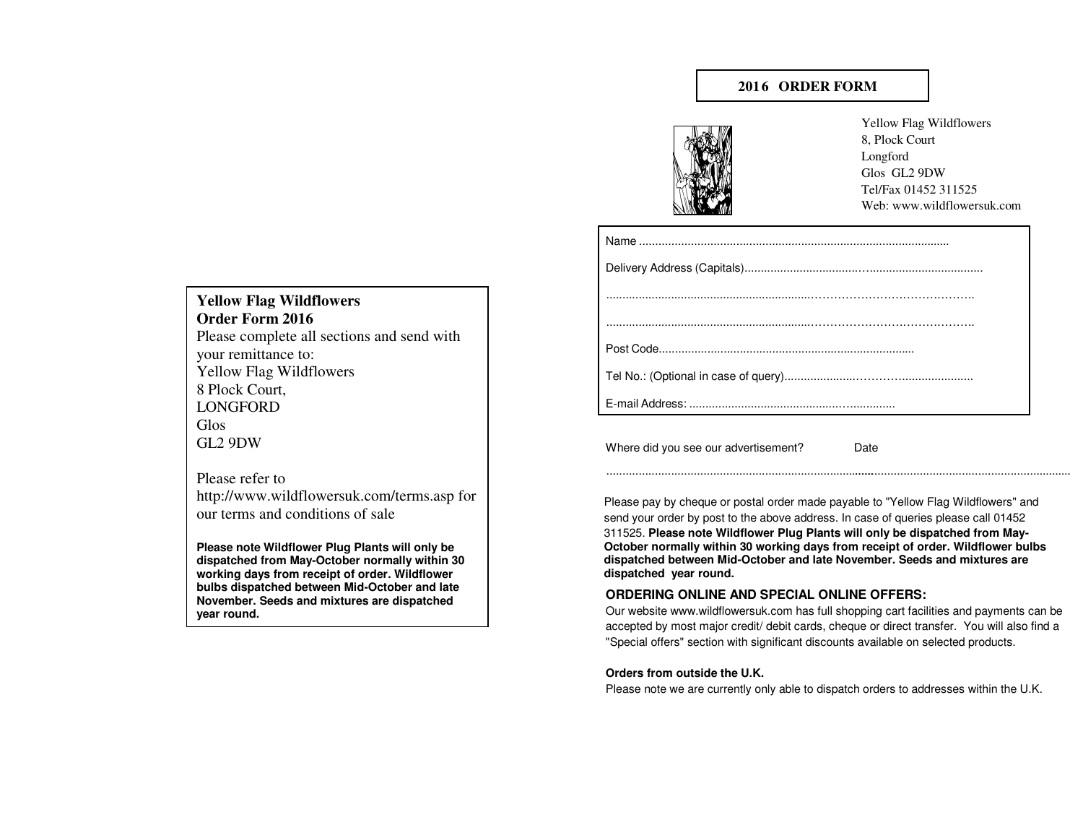# **201 6 ORDER FORM**



Yellow Flag Wildflowers8, Plock CourtLongford Glos GL2 9DW Tel/Fax 01452 311525Web: www.wildflowersuk.com

Where did you see our advertisement?Date

Please pay by cheque or postal order made payable to "Yellow Flag Wildflowers" andsend your order by post to the above address. In case of queries please call 01452

................................................................................................................................................

 311525. **Please note Wildflower Plug Plants will only be dispatched from May-October normally within 30 working days from receipt of order. Wildflower bulbs dispatched between Mid-October and late November. Seeds and mixtures are dispatched year round.**

## **ORDERING ONLINE AND SPECIAL ONLINE OFFERS:**

 Our website www.wildflowersuk.com has full shopping cart facilities and payments can be accepted by most major credit/ debit cards, cheque or direct transfer. You will also find a"Special offers" section with significant discounts available on selected products.

### **Orders from outside the U.K.**

Please note we are currently only able to dispatch orders to addresses within the U.K.

**Yellow Flag Wildflowers Order Form 2016** Please complete all sections and send with your remittance to: Yellow Flag Wildflowers 8 Plock Court, LONGFORD Glos GL2 9DW

Please refer to http://www.wildflowersuk.com/terms.asp for our terms and conditions of sale

**Please note Wildflower Plug Plants will only be dispatched from May-October normally within 30 working days from receipt of order. Wildflower bulbs dispatched between Mid-October and late November. Seeds and mixtures are dispatched year round.**